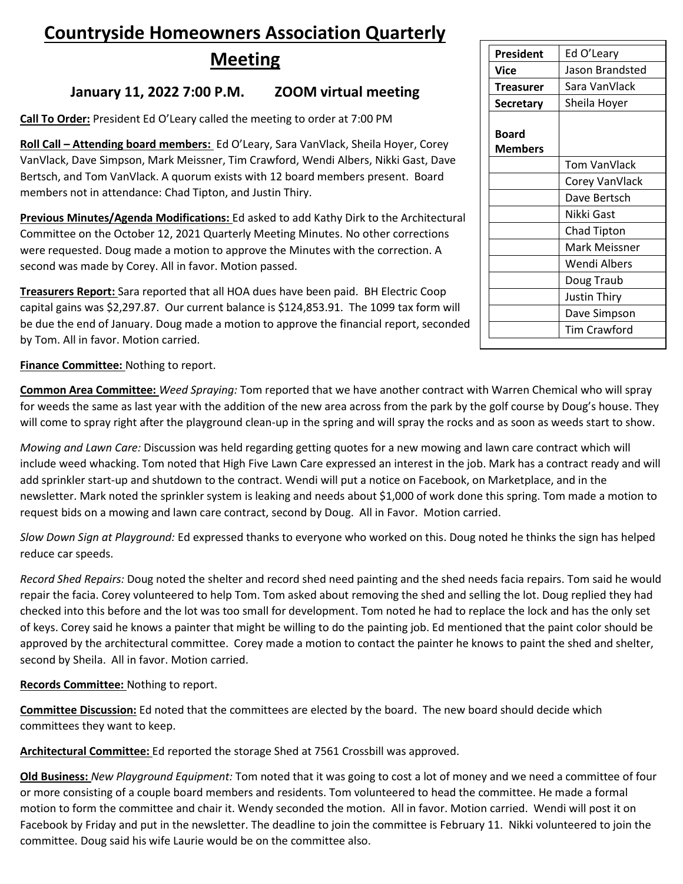## **Countryside Homeowners Association Quarterly**

**Meeting**

## **January 11, 2022 7:00 P.M. ZOOM virtual meeting**

**Call To Order:** President Ed O'Leary called the meeting to order at 7:00 PM

**Roll Call – Attending board members:** Ed O'Leary, Sara VanVlack, Sheila Hoyer, Corey VanVlack, Dave Simpson, Mark Meissner, Tim Crawford, Wendi Albers, Nikki Gast, Dave Bertsch, and Tom VanVlack. A quorum exists with 12 board members present. Board members not in attendance: Chad Tipton, and Justin Thiry.

**Previous Minutes/Agenda Modifications:** Ed asked to add Kathy Dirk to the Architectural Committee on the October 12, 2021 Quarterly Meeting Minutes. No other corrections were requested. Doug made a motion to approve the Minutes with the correction. A second was made by Corey. All in favor. Motion passed.

**Treasurers Report:** Sara reported that all HOA dues have been paid. BH Electric Coop capital gains was \$2,297.87. Our current balance is \$124,853.91. The 1099 tax form will be due the end of January. Doug made a motion to approve the financial report, seconded by Tom. All in favor. Motion carried.

**Finance Committee:** Nothing to report.

**Common Area Committee:** *Weed Spraying:* Tom reported that we have another contract with Warren Chemical who will spray for weeds the same as last year with the addition of the new area across from the park by the golf course by Doug's house. They will come to spray right after the playground clean-up in the spring and will spray the rocks and as soon as weeds start to show.

*Mowing and Lawn Care:* Discussion was held regarding getting quotes for a new mowing and lawn care contract which will include weed whacking. Tom noted that High Five Lawn Care expressed an interest in the job. Mark has a contract ready and will add sprinkler start-up and shutdown to the contract. Wendi will put a notice on Facebook, on Marketplace, and in the newsletter. Mark noted the sprinkler system is leaking and needs about \$1,000 of work done this spring. Tom made a motion to request bids on a mowing and lawn care contract, second by Doug. All in Favor. Motion carried.

*Slow Down Sign at Playground:* Ed expressed thanks to everyone who worked on this. Doug noted he thinks the sign has helped reduce car speeds.

*Record Shed Repairs:* Doug noted the shelter and record shed need painting and the shed needs facia repairs. Tom said he would repair the facia. Corey volunteered to help Tom. Tom asked about removing the shed and selling the lot. Doug replied they had checked into this before and the lot was too small for development. Tom noted he had to replace the lock and has the only set of keys. Corey said he knows a painter that might be willing to do the painting job. Ed mentioned that the paint color should be approved by the architectural committee. Corey made a motion to contact the painter he knows to paint the shed and shelter, second by Sheila. All in favor. Motion carried.

**Records Committee:** Nothing to report.

**Committee Discussion:** Ed noted that the committees are elected by the board. The new board should decide which committees they want to keep.

**Architectural Committee:** Ed reported the storage Shed at 7561 Crossbill was approved.

**Old Business:** *New Playground Equipment:* Tom noted that it was going to cost a lot of money and we need a committee of four or more consisting of a couple board members and residents. Tom volunteered to head the committee. He made a formal motion to form the committee and chair it. Wendy seconded the motion. All in favor. Motion carried. Wendi will post it on Facebook by Friday and put in the newsletter. The deadline to join the committee is February 11. Nikki volunteered to join the committee. Doug said his wife Laurie would be on the committee also.

| President        | Ed O'Leary          |
|------------------|---------------------|
| Vice             | Jason Brandsted     |
| Treasurer        | Sara VanVlack       |
| <b>Secretary</b> | Sheila Hoyer        |
|                  |                     |
| Board            |                     |
| <b>Members</b>   |                     |
|                  | Tom VanVlack        |
|                  | Corey VanVlack      |
|                  | Dave Bertsch        |
|                  | Nikki Gast          |
|                  | <b>Chad Tipton</b>  |
|                  | Mark Meissner       |
|                  | Wendi Albers        |
|                  | Doug Traub          |
|                  | <b>Justin Thiry</b> |
|                  | Dave Simpson        |
|                  | <b>Tim Crawford</b> |
|                  |                     |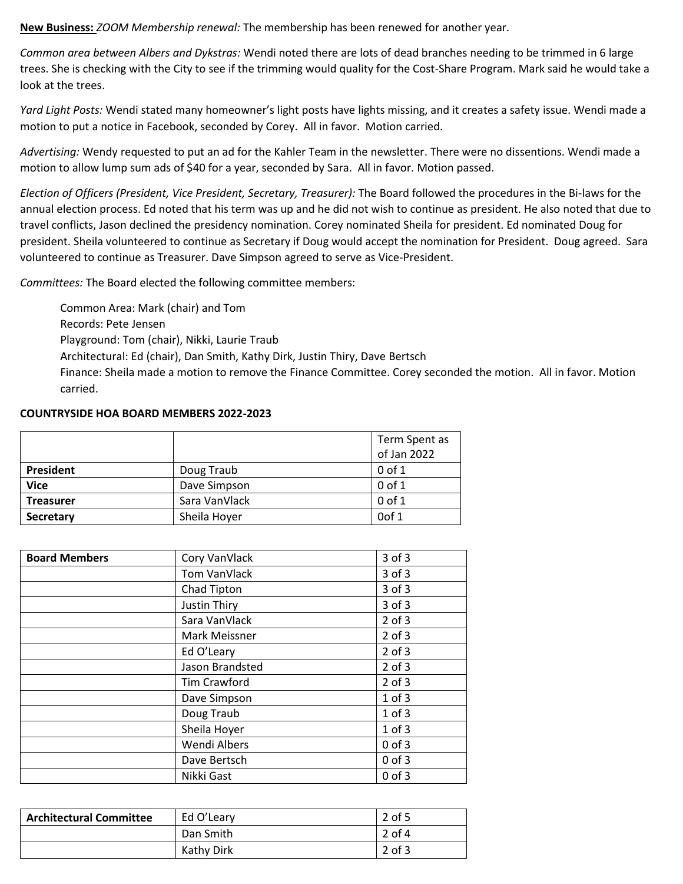**New Business:** *ZOOM Membership renewal:* The membership has been renewed for another year.

*Common area between Albers and Dykstras:* Wendi noted there are lots of dead branches needing to be trimmed in 6 large trees. She is checking with the City to see if the trimming would quality for the Cost-Share Program. Mark said he would take a look at the trees.

*Yard Light Posts:* Wendi stated many homeowner's light posts have lights missing, and it creates a safety issue. Wendi made a motion to put a notice in Facebook, seconded by Corey. All in favor. Motion carried.

*Advertising:* Wendy requested to put an ad for the Kahler Team in the newsletter. There were no dissentions. Wendi made a motion to allow lump sum ads of \$40 for a year, seconded by Sara. All in favor. Motion passed.

*Election of Officers (President, Vice President, Secretary, Treasurer):* The Board followed the procedures in the Bi-laws for the annual election process. Ed noted that his term was up and he did not wish to continue as president. He also noted that due to travel conflicts, Jason declined the presidency nomination. Corey nominated Sheila for president. Ed nominated Doug for president. Sheila volunteered to continue as Secretary if Doug would accept the nomination for President. Doug agreed. Sara volunteered to continue as Treasurer. Dave Simpson agreed to serve as Vice-President.

*Committees:* The Board elected the following committee members:

Common Area: Mark (chair) and Tom Records: Pete Jensen Playground: Tom (chair), Nikki, Laurie Traub Architectural: Ed (chair), Dan Smith, Kathy Dirk, Justin Thiry, Dave Bertsch Finance: Sheila made a motion to remove the Finance Committee. Corey seconded the motion. All in favor. Motion carried.

## **COUNTRYSIDE HOA BOARD MEMBERS 2022-2023**

|                  |               | Term Spent as |
|------------------|---------------|---------------|
|                  |               | of Jan 2022   |
| <b>President</b> | Doug Traub    | $0$ of $1$    |
| <b>Vice</b>      | Dave Simpson  | $0$ of $1$    |
| <b>Treasurer</b> | Sara VanVlack | $0$ of $1$    |
| Secretary        | Sheila Hoyer  | Oof 1         |

| <b>Board Members</b> | Cory VanVlack       | 3 of 3     |
|----------------------|---------------------|------------|
|                      | Tom VanVlack        | $3$ of $3$ |
|                      | Chad Tipton         | $3$ of $3$ |
|                      | Justin Thiry        | $3$ of $3$ |
|                      | Sara VanVlack       | $2$ of $3$ |
|                      | Mark Meissner       | $2$ of $3$ |
|                      | Ed O'Leary          | $2$ of $3$ |
|                      | Jason Brandsted     | $2$ of $3$ |
|                      | Tim Crawford        | $2$ of $3$ |
|                      | Dave Simpson        | $1$ of $3$ |
|                      | Doug Traub          | $1$ of $3$ |
|                      | Sheila Hoyer        | $1$ of $3$ |
|                      | <b>Wendi Albers</b> | $0$ of $3$ |
|                      | Dave Bertsch        | $0$ of $3$ |
|                      | Nikki Gast          | $0$ of $3$ |

| <b>Architectural Committee</b> | Ed O'Leary | 2 of 5   |
|--------------------------------|------------|----------|
|                                | Dan Smith  | $2$ of 4 |
|                                | Kathy Dirk | $2$ of 3 |